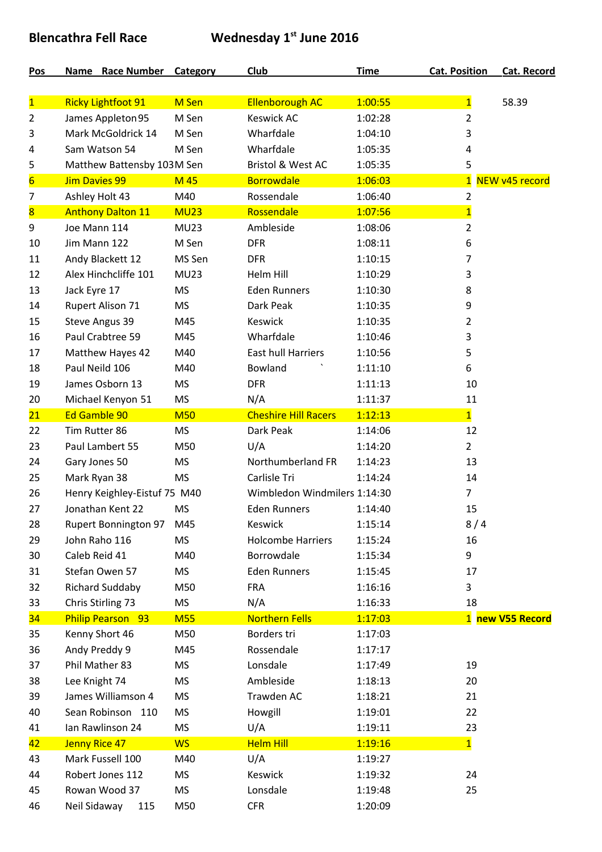## **Blencathra Fell Race Wednesday 1st June 2016**

| Pos                     | Name Race Number Category    |             | <b>Club</b>                  | <b>Time</b> | <b>Cat. Position</b>           | <b>Cat. Record</b> |
|-------------------------|------------------------------|-------------|------------------------------|-------------|--------------------------------|--------------------|
| $\overline{\mathbf{1}}$ | <b>Ricky Lightfoot 91</b>    | M Sen       | <b>Ellenborough AC</b>       | 1:00:55     |                                | 58.39              |
| 2                       | James Appleton 95            | M Sen       | <b>Keswick AC</b>            | 1:02:28     | $\mathbf{1}$<br>$\overline{2}$ |                    |
| 3                       | Mark McGoldrick 14           | M Sen       | Wharfdale                    | 1:04:10     | 3                              |                    |
| 4                       | Sam Watson 54                | M Sen       | Wharfdale                    | 1:05:35     | 4                              |                    |
| 5                       | Matthew Battensby 103M Sen   |             | <b>Bristol &amp; West AC</b> | 1:05:35     | 5                              |                    |
| $6 \overline{}$         | <b>Jim Davies 99</b>         | M 45        | <b>Borrowdale</b>            | 1:06:03     | $\overline{1}$                 | NEW v45 record     |
| 7                       | Ashley Holt 43               | M40         | Rossendale                   | 1:06:40     | $\overline{2}$                 |                    |
| $\overline{\mathbf{8}}$ | <b>Anthony Dalton 11</b>     | <b>MU23</b> | Rossendale                   | 1:07:56     | $\overline{1}$                 |                    |
| 9                       | Joe Mann 114                 | <b>MU23</b> | Ambleside                    | 1:08:06     | $\overline{2}$                 |                    |
| 10                      | Jim Mann 122                 | M Sen       | <b>DFR</b>                   | 1:08:11     | 6                              |                    |
| 11                      | Andy Blackett 12             | MS Sen      | <b>DFR</b>                   | 1:10:15     | 7                              |                    |
| 12                      | Alex Hinchcliffe 101         | <b>MU23</b> | Helm Hill                    | 1:10:29     | 3                              |                    |
| 13                      | Jack Eyre 17                 | <b>MS</b>   | <b>Eden Runners</b>          | 1:10:30     | 8                              |                    |
| 14                      | <b>Rupert Alison 71</b>      | <b>MS</b>   | Dark Peak                    | 1:10:35     | 9                              |                    |
| 15                      | Steve Angus 39               | M45         | <b>Keswick</b>               | 1:10:35     | $\overline{2}$                 |                    |
| 16                      | Paul Crabtree 59             | M45         | Wharfdale                    | 1:10:46     | 3                              |                    |
| 17                      | Matthew Hayes 42             | M40         | <b>East hull Harriers</b>    | 1:10:56     | 5                              |                    |
| 18                      | Paul Neild 106               | M40         | Bowland                      | 1:11:10     | 6                              |                    |
| 19                      | James Osborn 13              | <b>MS</b>   | <b>DFR</b>                   | 1:11:13     | 10                             |                    |
| 20                      | Michael Kenyon 51            | <b>MS</b>   | N/A                          | 1:11:37     | 11                             |                    |
| 21                      | Ed Gamble 90                 | <b>M50</b>  | <b>Cheshire Hill Racers</b>  | 1:12:13     | $\overline{1}$                 |                    |
| 22                      | Tim Rutter 86                | <b>MS</b>   | Dark Peak                    | 1:14:06     | 12                             |                    |
| 23                      | Paul Lambert 55              | M50         | U/A                          | 1:14:20     | $\overline{2}$                 |                    |
| 24                      | Gary Jones 50                | <b>MS</b>   | Northumberland FR            | 1:14:23     | 13                             |                    |
| 25                      | Mark Ryan 38                 | <b>MS</b>   | Carlisle Tri                 | 1:14:24     | 14                             |                    |
| 26                      | Henry Keighley-Eistuf 75 M40 |             | Wimbledon Windmilers 1:14:30 |             | $\overline{7}$                 |                    |
| 27                      | Jonathan Kent 22             | <b>MS</b>   | <b>Eden Runners</b>          | 1:14:40     | 15                             |                    |
| 28                      | <b>Rupert Bonnington 97</b>  | M45         | Keswick                      | 1:15:14     | 8/4                            |                    |
| 29                      | John Raho 116                | <b>MS</b>   | <b>Holcombe Harriers</b>     | 1:15:24     | 16                             |                    |
| 30                      | Caleb Reid 41                | M40         | Borrowdale                   | 1:15:34     | 9                              |                    |
| 31                      | Stefan Owen 57               | <b>MS</b>   | <b>Eden Runners</b>          | 1:15:45     | 17                             |                    |
| 32                      | <b>Richard Suddaby</b>       | M50         | <b>FRA</b>                   | 1:16:16     | 3                              |                    |
| 33                      | Chris Stirling 73            | <b>MS</b>   | N/A                          | 1:16:33     | 18                             |                    |
| 34                      | <b>Philip Pearson 93</b>     | <b>M55</b>  | <b>Northern Fells</b>        | 1:17:03     |                                | 1 new V55 Record   |
| 35                      | Kenny Short 46               | M50         | Borders tri                  | 1:17:03     |                                |                    |
| 36                      | Andy Preddy 9                | M45         | Rossendale                   | 1:17:17     |                                |                    |
| 37                      | Phil Mather 83               | <b>MS</b>   | Lonsdale                     | 1:17:49     | 19                             |                    |
| 38                      | Lee Knight 74                | <b>MS</b>   | Ambleside                    | 1:18:13     | 20                             |                    |
| 39                      | James Williamson 4           | <b>MS</b>   | Trawden AC                   | 1:18:21     | 21                             |                    |
| 40                      | Sean Robinson 110            | <b>MS</b>   | Howgill                      | 1:19:01     | 22                             |                    |
| 41                      | Ian Rawlinson 24             | <b>MS</b>   | U/A                          | 1:19:11     | 23                             |                    |
| 42                      | <b>Jenny Rice 47</b>         | <b>WS</b>   | <b>Helm Hill</b>             | 1:19:16     | $\mathbf{1}$                   |                    |
| 43                      | Mark Fussell 100             | M40         | U/A                          | 1:19:27     |                                |                    |
| 44                      | Robert Jones 112             | <b>MS</b>   | Keswick                      | 1:19:32     | 24                             |                    |
| 45                      | Rowan Wood 37                | <b>MS</b>   | Lonsdale                     | 1:19:48     | 25                             |                    |
| 46                      | Neil Sidaway<br>115          | M50         | <b>CFR</b>                   | 1:20:09     |                                |                    |
|                         |                              |             |                              |             |                                |                    |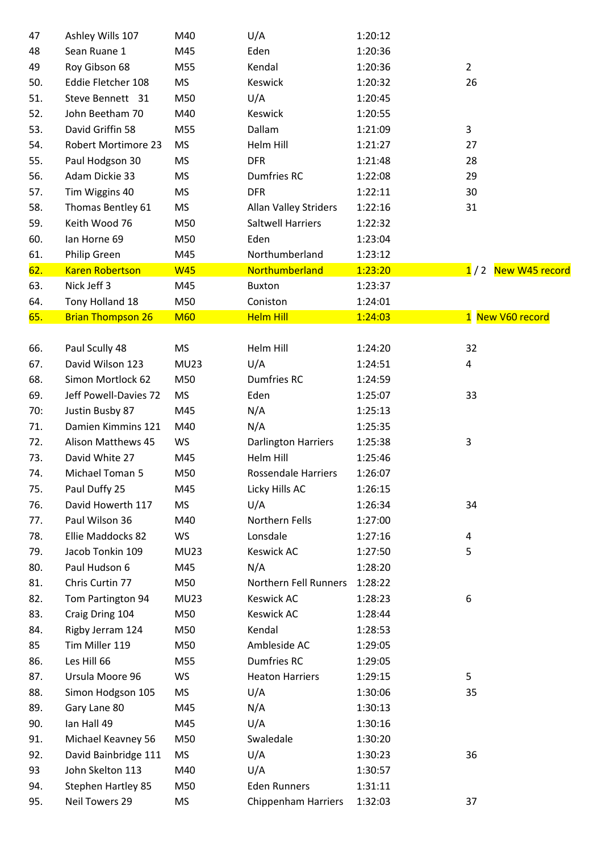| 47  | Ashley Wills 107           | M40         | U/A                          | 1:20:12 |                      |
|-----|----------------------------|-------------|------------------------------|---------|----------------------|
| 48  | Sean Ruane 1               | M45         | Eden                         | 1:20:36 |                      |
| 49  | Roy Gibson 68              | M55         | Kendal                       | 1:20:36 | $\overline{2}$       |
| 50. | Eddie Fletcher 108         | <b>MS</b>   | Keswick                      | 1:20:32 | 26                   |
| 51. | Steve Bennett 31           | M50         | U/A                          | 1:20:45 |                      |
| 52. | John Beetham 70            | M40         | Keswick                      | 1:20:55 |                      |
| 53. | David Griffin 58           | M55         | Dallam                       | 1:21:09 | 3                    |
| 54. | <b>Robert Mortimore 23</b> | <b>MS</b>   | Helm Hill                    | 1:21:27 | 27                   |
| 55. | Paul Hodgson 30            | <b>MS</b>   | <b>DFR</b>                   | 1:21:48 | 28                   |
| 56. | Adam Dickie 33             | MS          | <b>Dumfries RC</b>           | 1:22:08 | 29                   |
| 57. | Tim Wiggins 40             | <b>MS</b>   | <b>DFR</b>                   | 1:22:11 | 30                   |
| 58. | Thomas Bentley 61          | MS          | <b>Allan Valley Striders</b> | 1:22:16 | 31                   |
| 59. | Keith Wood 76              | M50         | <b>Saltwell Harriers</b>     | 1:22:32 |                      |
| 60. | lan Horne 69               | M50         | Eden                         | 1:23:04 |                      |
| 61. | Philip Green               | M45         | Northumberland               | 1:23:12 |                      |
| 62. | <b>Karen Robertson</b>     | <b>W45</b>  | Northumberland               | 1:23:20 | 1 / 2 New W45 record |
| 63. | Nick Jeff 3                | M45         | Buxton                       | 1:23:37 |                      |
| 64. | Tony Holland 18            | M50         | Coniston                     | 1:24:01 |                      |
| 65. | <b>Brian Thompson 26</b>   | <b>M60</b>  | <b>Helm Hill</b>             | 1:24:03 | 1 New V60 record     |
|     |                            |             |                              |         |                      |
| 66. | Paul Scully 48             | <b>MS</b>   | Helm Hill                    | 1:24:20 | 32                   |
| 67. | David Wilson 123           | <b>MU23</b> | U/A                          | 1:24:51 | 4                    |
| 68. | Simon Mortlock 62          | M50         | <b>Dumfries RC</b>           | 1:24:59 |                      |
| 69. | Jeff Powell-Davies 72      | <b>MS</b>   | Eden                         | 1:25:07 | 33                   |
| 70: | Justin Busby 87            | M45         | N/A                          | 1:25:13 |                      |
| 71. | Damien Kimmins 121         | M40         | N/A                          | 1:25:35 |                      |
| 72. | Alison Matthews 45         | WS          | <b>Darlington Harriers</b>   | 1:25:38 | $\mathbf{3}$         |
| 73. | David White 27             | M45         | Helm Hill                    | 1:25:46 |                      |
| 74. | Michael Toman 5            | M50         | <b>Rossendale Harriers</b>   | 1:26:07 |                      |
| 75. | Paul Duffy 25              | M45         | Licky Hills AC               | 1:26:15 |                      |
| 76. | David Howerth 117          | <b>MS</b>   | U/A                          | 1:26:34 | 34                   |
| 77. | Paul Wilson 36             | M40         | Northern Fells               | 1:27:00 |                      |
| 78. | Ellie Maddocks 82          | WS          | Lonsdale                     | 1:27:16 | 4                    |
| 79. | Jacob Tonkin 109           | <b>MU23</b> | <b>Keswick AC</b>            | 1:27:50 | 5                    |
| 80. | Paul Hudson 6              | M45         | N/A                          | 1:28:20 |                      |
| 81. | Chris Curtin 77            | M50         | Northern Fell Runners        | 1:28:22 |                      |
| 82. | Tom Partington 94          | <b>MU23</b> | <b>Keswick AC</b>            | 1:28:23 | 6                    |
| 83. | Craig Dring 104            | M50         | <b>Keswick AC</b>            | 1:28:44 |                      |
| 84. | Rigby Jerram 124           | M50         | Kendal                       | 1:28:53 |                      |
| 85  | Tim Miller 119             | M50         | Ambleside AC                 | 1:29:05 |                      |
| 86. | Les Hill 66                | M55         | <b>Dumfries RC</b>           | 1:29:05 |                      |
| 87. | Ursula Moore 96            | WS          | <b>Heaton Harriers</b>       | 1:29:15 | 5                    |
| 88. | Simon Hodgson 105          | MS          | U/A                          | 1:30:06 | 35                   |
| 89. | Gary Lane 80               | M45         | N/A                          | 1:30:13 |                      |
| 90. | lan Hall 49                | M45         | U/A                          | 1:30:16 |                      |
| 91. | Michael Keavney 56         | M50         | Swaledale                    | 1:30:20 |                      |
| 92. | David Bainbridge 111       | MS          | U/A                          | 1:30:23 | 36                   |
| 93  | John Skelton 113           | M40         | U/A                          | 1:30:57 |                      |
| 94. | Stephen Hartley 85         | M50         | <b>Eden Runners</b>          | 1:31:11 |                      |
| 95. | Neil Towers 29             | MS          | <b>Chippenham Harriers</b>   | 1:32:03 | 37                   |
|     |                            |             |                              |         |                      |